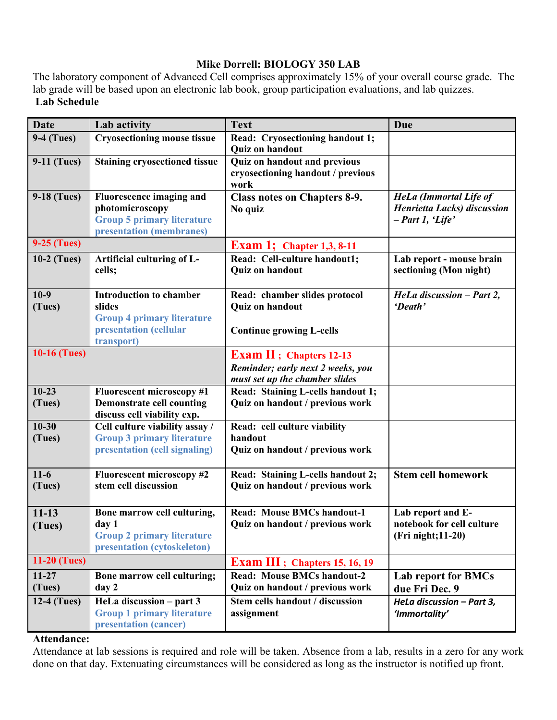# **Mike Dorrell: BIOLOGY 350 LAB**

The laboratory component of Advanced Cell comprises approximately 15% of your overall course grade. The lab grade will be based upon an electronic lab book, group participation evaluations, and lab quizzes. **Lab Schedule**

| <b>Date</b>         | Lab activity                                                                                                          | <b>Text</b>                                                                                            | Due                                                                                        |
|---------------------|-----------------------------------------------------------------------------------------------------------------------|--------------------------------------------------------------------------------------------------------|--------------------------------------------------------------------------------------------|
| <b>9-4 (Tues)</b>   | <b>Cryosectioning mouse tissue</b>                                                                                    | Read: Cryosectioning handout 1;<br><b>Quiz on handout</b>                                              |                                                                                            |
| <b>9-11 (Tues)</b>  | <b>Staining cryosectioned tissue</b>                                                                                  | <b>Quiz on handout and previous</b><br>cryosectioning handout / previous<br>work                       |                                                                                            |
| 9-18 (Tues)         | <b>Fluorescence imaging and</b><br>photomicroscopy<br><b>Group 5 primary literature</b><br>presentation (membranes)   | <b>Class notes on Chapters 8-9.</b><br>No quiz                                                         | <b>HeLa</b> (Immortal Life of<br><b>Henrietta Lacks</b> ) discussion<br>$- Part 1, 'Life'$ |
| <b>9-25 (Tues)</b>  |                                                                                                                       | <b>Exam 1; Chapter 1,3, 8-11</b>                                                                       |                                                                                            |
| $10-2$ (Tues)       | Artificial culturing of L-<br>cells;                                                                                  | Read: Cell-culture handout1;<br>Quiz on handout                                                        | Lab report - mouse brain<br>sectioning (Mon night)                                         |
| $10-9$<br>(Tues)    | <b>Introduction to chamber</b><br>slides<br><b>Group 4 primary literature</b><br>presentation (cellular<br>transport) | Read: chamber slides protocol<br><b>Quiz on handout</b><br><b>Continue growing L-cells</b>             | HeLa discussion - Part 2,<br>'Death'                                                       |
| <b>10-16 (Tues)</b> |                                                                                                                       | <b>Exam II</b> ; Chapters 12-13<br>Reminder; early next 2 weeks, you<br>must set up the chamber slides |                                                                                            |
| $10 - 23$           | <b>Fluorescent microscopy #1</b>                                                                                      | Read: Staining L-cells handout 1;                                                                      |                                                                                            |
| (Tues)              | <b>Demonstrate cell counting</b><br>discuss cell viability exp.                                                       | Quiz on handout / previous work                                                                        |                                                                                            |
| $10 - 30$           | Cell culture viability assay /                                                                                        | Read: cell culture viability                                                                           |                                                                                            |
| (Tues)              | <b>Group 3 primary literature</b><br>presentation (cell signaling)                                                    | handout<br>Quiz on handout / previous work                                                             |                                                                                            |
| $11-6$<br>(Tues)    | <b>Fluorescent microscopy #2</b><br>stem cell discussion                                                              | Read: Staining L-cells handout 2;<br>Quiz on handout / previous work                                   | <b>Stem cell homework</b>                                                                  |
| $11 - 13$<br>(Tues) | Bone marrow cell culturing,<br>day 1<br><b>Group 2 primary literature</b><br>presentation (cytoskeleton)              | <b>Read: Mouse BMCs handout-1</b><br>Quiz on handout / previous work                                   | Lab report and E-<br>notebook for cell culture<br>(Fri night; 11-20)                       |
| <b>11-20 (Tues)</b> |                                                                                                                       | <b>Exam III</b> ; Chapters 15, 16, 19                                                                  |                                                                                            |
| $11 - 27$<br>(Tues) | Bone marrow cell culturing;<br>day 2                                                                                  | <b>Read: Mouse BMCs handout-2</b><br>Quiz on handout / previous work                                   | Lab report for BMCs<br>due Fri Dec. 9                                                      |
| $12-4$ (Tues)       | HeLa discussion – part 3<br><b>Group 1 primary literature</b><br>presentation (cancer)                                | Stem cells handout / discussion<br>assignment                                                          | HeLa discussion - Part 3,<br>'Immortality'                                                 |

#### **Attendance:**

Attendance at lab sessions is required and role will be taken. Absence from a lab, results in a zero for any work done on that day. Extenuating circumstances will be considered as long as the instructor is notified up front.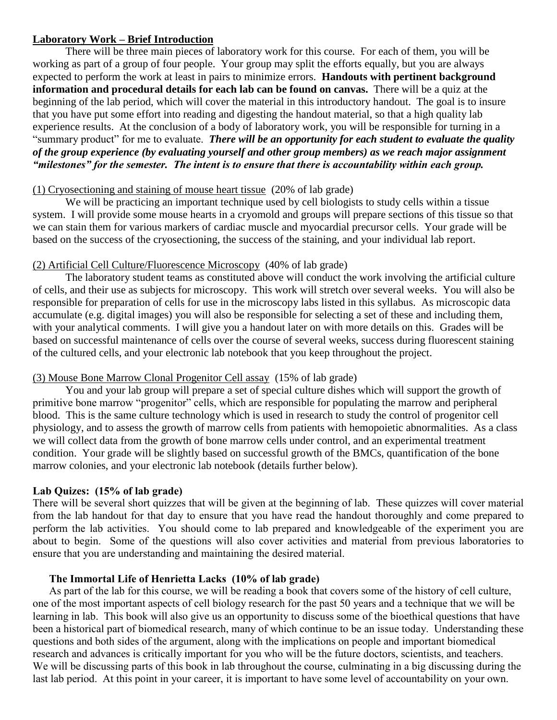#### **Laboratory Work – Brief Introduction**

There will be three main pieces of laboratory work for this course. For each of them, you will be working as part of a group of four people. Your group may split the efforts equally, but you are always expected to perform the work at least in pairs to minimize errors. **Handouts with pertinent background information and procedural details for each lab can be found on canvas.** There will be a quiz at the beginning of the lab period, which will cover the material in this introductory handout. The goal is to insure that you have put some effort into reading and digesting the handout material, so that a high quality lab experience results. At the conclusion of a body of laboratory work, you will be responsible for turning in a "summary product" for me to evaluate. *There will be an opportunity for each student to evaluate the quality of the group experience (by evaluating yourself and other group members) as we reach major assignment "milestones" for the semester. The intent is to ensure that there is accountability within each group.* 

## (1) Cryosectioning and staining of mouse heart tissue (20% of lab grade)

We will be practicing an important technique used by cell biologists to study cells within a tissue system. I will provide some mouse hearts in a cryomold and groups will prepare sections of this tissue so that we can stain them for various markers of cardiac muscle and myocardial precursor cells. Your grade will be based on the success of the cryosectioning, the success of the staining, and your individual lab report.

## (2) Artificial Cell Culture/Fluorescence Microscopy (40% of lab grade)

The laboratory student teams as constituted above will conduct the work involving the artificial culture of cells, and their use as subjects for microscopy. This work will stretch over several weeks. You will also be responsible for preparation of cells for use in the microscopy labs listed in this syllabus. As microscopic data accumulate (e.g. digital images) you will also be responsible for selecting a set of these and including them, with your analytical comments. I will give you a handout later on with more details on this. Grades will be based on successful maintenance of cells over the course of several weeks, success during fluorescent staining of the cultured cells, and your electronic lab notebook that you keep throughout the project.

## (3) Mouse Bone Marrow Clonal Progenitor Cell assay (15% of lab grade)

You and your lab group will prepare a set of special culture dishes which will support the growth of primitive bone marrow "progenitor" cells, which are responsible for populating the marrow and peripheral blood. This is the same culture technology which is used in research to study the control of progenitor cell physiology, and to assess the growth of marrow cells from patients with hemopoietic abnormalities. As a class we will collect data from the growth of bone marrow cells under control, and an experimental treatment condition. Your grade will be slightly based on successful growth of the BMCs, quantification of the bone marrow colonies, and your electronic lab notebook (details further below).

## **Lab Quizes: (15% of lab grade)**

There will be several short quizzes that will be given at the beginning of lab. These quizzes will cover material from the lab handout for that day to ensure that you have read the handout thoroughly and come prepared to perform the lab activities. You should come to lab prepared and knowledgeable of the experiment you are about to begin. Some of the questions will also cover activities and material from previous laboratories to ensure that you are understanding and maintaining the desired material.

#### **The Immortal Life of Henrietta Lacks (10% of lab grade)**

As part of the lab for this course, we will be reading a book that covers some of the history of cell culture, one of the most important aspects of cell biology research for the past 50 years and a technique that we will be learning in lab. This book will also give us an opportunity to discuss some of the bioethical questions that have been a historical part of biomedical research, many of which continue to be an issue today. Understanding these questions and both sides of the argument, along with the implications on people and important biomedical research and advances is critically important for you who will be the future doctors, scientists, and teachers. We will be discussing parts of this book in lab throughout the course, culminating in a big discussing during the last lab period. At this point in your career, it is important to have some level of accountability on your own.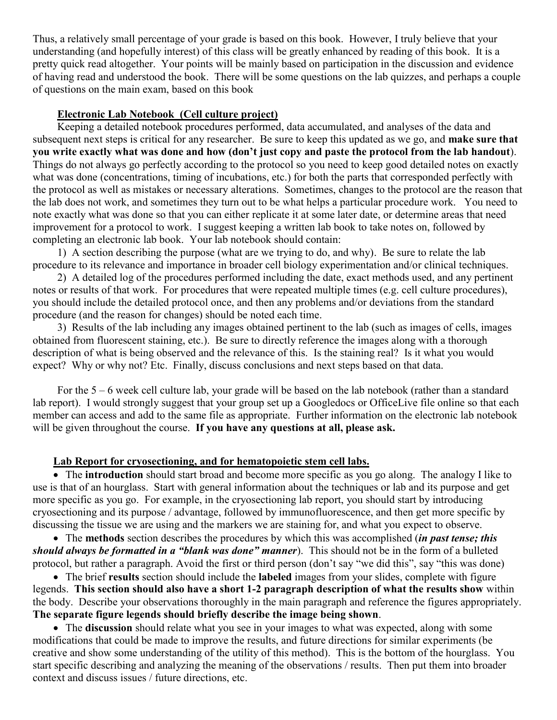Thus, a relatively small percentage of your grade is based on this book. However, I truly believe that your understanding (and hopefully interest) of this class will be greatly enhanced by reading of this book. It is a pretty quick read altogether. Your points will be mainly based on participation in the discussion and evidence of having read and understood the book. There will be some questions on the lab quizzes, and perhaps a couple of questions on the main exam, based on this book

#### **Electronic Lab Notebook (Cell culture project)**

Keeping a detailed notebook procedures performed, data accumulated, and analyses of the data and subsequent next steps is critical for any researcher. Be sure to keep this updated as we go, and **make sure that you write exactly what was done and how (don't just copy and paste the protocol from the lab handout**). Things do not always go perfectly according to the protocol so you need to keep good detailed notes on exactly what was done (concentrations, timing of incubations, etc.) for both the parts that corresponded perfectly with the protocol as well as mistakes or necessary alterations. Sometimes, changes to the protocol are the reason that the lab does not work, and sometimes they turn out to be what helps a particular procedure work. You need to note exactly what was done so that you can either replicate it at some later date, or determine areas that need improvement for a protocol to work. I suggest keeping a written lab book to take notes on, followed by completing an electronic lab book. Your lab notebook should contain:

1) A section describing the purpose (what are we trying to do, and why). Be sure to relate the lab procedure to its relevance and importance in broader cell biology experimentation and/or clinical techniques.

2) A detailed log of the procedures performed including the date, exact methods used, and any pertinent notes or results of that work. For procedures that were repeated multiple times (e.g. cell culture procedures), you should include the detailed protocol once, and then any problems and/or deviations from the standard procedure (and the reason for changes) should be noted each time.

3) Results of the lab including any images obtained pertinent to the lab (such as images of cells, images obtained from fluorescent staining, etc.). Be sure to directly reference the images along with a thorough description of what is being observed and the relevance of this. Is the staining real? Is it what you would expect? Why or why not? Etc. Finally, discuss conclusions and next steps based on that data.

For the 5 – 6 week cell culture lab, your grade will be based on the lab notebook (rather than a standard lab report). I would strongly suggest that your group set up a Googledocs or OfficeLive file online so that each member can access and add to the same file as appropriate. Further information on the electronic lab notebook will be given throughout the course. **If you have any questions at all, please ask.** 

#### **Lab Report for cryosectioning, and for hematopoietic stem cell labs.**

 The **introduction** should start broad and become more specific as you go along. The analogy I like to use is that of an hourglass. Start with general information about the techniques or lab and its purpose and get more specific as you go. For example, in the cryosectioning lab report, you should start by introducing cryosectioning and its purpose / advantage, followed by immunofluorescence, and then get more specific by discussing the tissue we are using and the markers we are staining for, and what you expect to observe.

 The **methods** section describes the procedures by which this was accomplished (*in past tense; this should always be formatted in a "blank was done" manner*). This should not be in the form of a bulleted protocol, but rather a paragraph. Avoid the first or third person (don't say "we did this", say "this was done)

 The brief **results** section should include the **labeled** images from your slides, complete with figure legends. **This section should also have a short 1-2 paragraph description of what the results show** within the body. Describe your observations thoroughly in the main paragraph and reference the figures appropriately. **The separate figure legends should briefly describe the image being shown**.

 The **discussion** should relate what you see in your images to what was expected, along with some modifications that could be made to improve the results, and future directions for similar experiments (be creative and show some understanding of the utility of this method). This is the bottom of the hourglass. You start specific describing and analyzing the meaning of the observations / results. Then put them into broader context and discuss issues / future directions, etc.